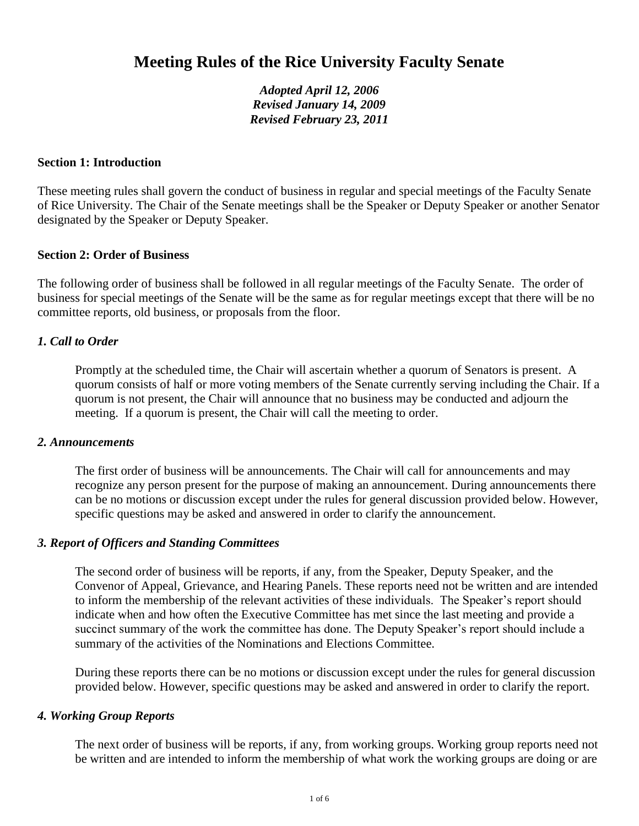# **Meeting Rules of the Rice University Faculty Senate**

*Adopted April 12, 2006 Revised January 14, 2009 Revised February 23, 2011*

## **Section 1: Introduction**

These meeting rules shall govern the conduct of business in regular and special meetings of the Faculty Senate of Rice University. The Chair of the Senate meetings shall be the Speaker or Deputy Speaker or another Senator designated by the Speaker or Deputy Speaker.

## **Section 2: Order of Business**

The following order of business shall be followed in all regular meetings of the Faculty Senate. The order of business for special meetings of the Senate will be the same as for regular meetings except that there will be no committee reports, old business, or proposals from the floor.

# *1. Call to Order*

Promptly at the scheduled time, the Chair will ascertain whether a quorum of Senators is present. A quorum consists of half or more voting members of the Senate currently serving including the Chair. If a quorum is not present, the Chair will announce that no business may be conducted and adjourn the meeting. If a quorum is present, the Chair will call the meeting to order.

#### *2. Announcements*

The first order of business will be announcements. The Chair will call for announcements and may recognize any person present for the purpose of making an announcement. During announcements there can be no motions or discussion except under the rules for general discussion provided below. However, specific questions may be asked and answered in order to clarify the announcement.

## *3. Report of Officers and Standing Committees*

The second order of business will be reports, if any, from the Speaker, Deputy Speaker, and the Convenor of Appeal, Grievance, and Hearing Panels. These reports need not be written and are intended to inform the membership of the relevant activities of these individuals. The Speaker's report should indicate when and how often the Executive Committee has met since the last meeting and provide a succinct summary of the work the committee has done. The Deputy Speaker's report should include a summary of the activities of the Nominations and Elections Committee.

During these reports there can be no motions or discussion except under the rules for general discussion provided below. However, specific questions may be asked and answered in order to clarify the report.

## *4. Working Group Reports*

The next order of business will be reports, if any, from working groups. Working group reports need not be written and are intended to inform the membership of what work the working groups are doing or are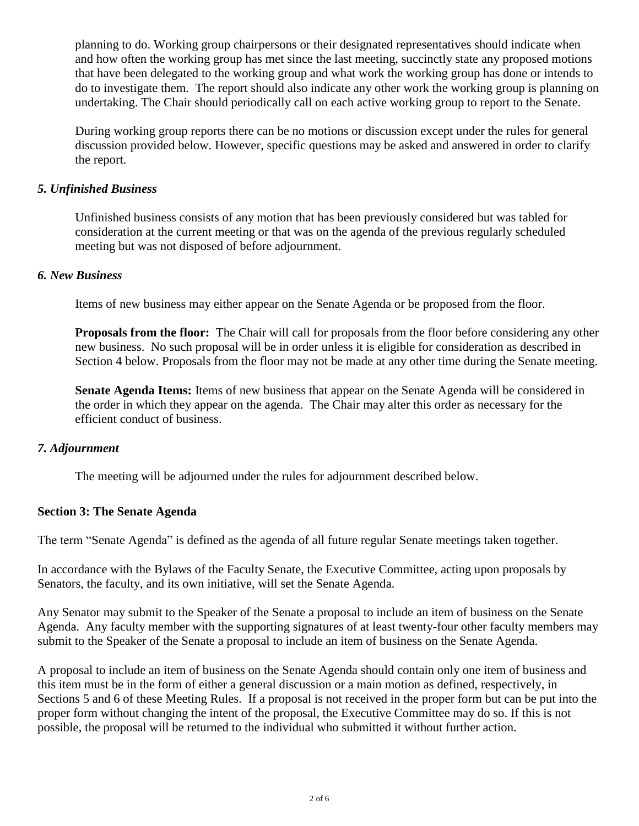planning to do. Working group chairpersons or their designated representatives should indicate when and how often the working group has met since the last meeting, succinctly state any proposed motions that have been delegated to the working group and what work the working group has done or intends to do to investigate them. The report should also indicate any other work the working group is planning on undertaking. The Chair should periodically call on each active working group to report to the Senate.

During working group reports there can be no motions or discussion except under the rules for general discussion provided below. However, specific questions may be asked and answered in order to clarify the report.

# *5. Unfinished Business*

Unfinished business consists of any motion that has been previously considered but was tabled for consideration at the current meeting or that was on the agenda of the previous regularly scheduled meeting but was not disposed of before adjournment.

## *6. New Business*

Items of new business may either appear on the Senate Agenda or be proposed from the floor.

**Proposals from the floor:** The Chair will call for proposals from the floor before considering any other new business. No such proposal will be in order unless it is eligible for consideration as described in Section 4 below. Proposals from the floor may not be made at any other time during the Senate meeting.

**Senate Agenda Items:** Items of new business that appear on the Senate Agenda will be considered in the order in which they appear on the agenda. The Chair may alter this order as necessary for the efficient conduct of business.

# *7. Adjournment*

The meeting will be adjourned under the rules for adjournment described below.

## **Section 3: The Senate Agenda**

The term "Senate Agenda" is defined as the agenda of all future regular Senate meetings taken together.

In accordance with the Bylaws of the Faculty Senate, the Executive Committee, acting upon proposals by Senators, the faculty, and its own initiative, will set the Senate Agenda.

Any Senator may submit to the Speaker of the Senate a proposal to include an item of business on the Senate Agenda. Any faculty member with the supporting signatures of at least twenty-four other faculty members may submit to the Speaker of the Senate a proposal to include an item of business on the Senate Agenda.

A proposal to include an item of business on the Senate Agenda should contain only one item of business and this item must be in the form of either a general discussion or a main motion as defined, respectively, in Sections 5 and 6 of these Meeting Rules. If a proposal is not received in the proper form but can be put into the proper form without changing the intent of the proposal, the Executive Committee may do so. If this is not possible, the proposal will be returned to the individual who submitted it without further action.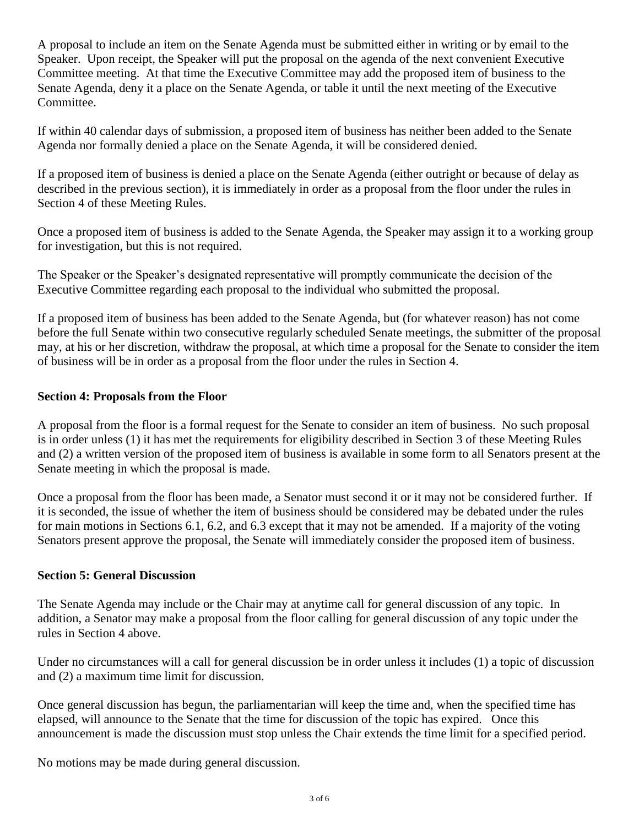A proposal to include an item on the Senate Agenda must be submitted either in writing or by email to the Speaker. Upon receipt, the Speaker will put the proposal on the agenda of the next convenient Executive Committee meeting. At that time the Executive Committee may add the proposed item of business to the Senate Agenda, deny it a place on the Senate Agenda, or table it until the next meeting of the Executive Committee.

If within 40 calendar days of submission, a proposed item of business has neither been added to the Senate Agenda nor formally denied a place on the Senate Agenda, it will be considered denied.

If a proposed item of business is denied a place on the Senate Agenda (either outright or because of delay as described in the previous section), it is immediately in order as a proposal from the floor under the rules in Section 4 of these Meeting Rules.

Once a proposed item of business is added to the Senate Agenda, the Speaker may assign it to a working group for investigation, but this is not required.

The Speaker or the Speaker's designated representative will promptly communicate the decision of the Executive Committee regarding each proposal to the individual who submitted the proposal.

If a proposed item of business has been added to the Senate Agenda, but (for whatever reason) has not come before the full Senate within two consecutive regularly scheduled Senate meetings, the submitter of the proposal may, at his or her discretion, withdraw the proposal, at which time a proposal for the Senate to consider the item of business will be in order as a proposal from the floor under the rules in Section 4.

# **Section 4: Proposals from the Floor**

A proposal from the floor is a formal request for the Senate to consider an item of business. No such proposal is in order unless (1) it has met the requirements for eligibility described in Section 3 of these Meeting Rules and (2) a written version of the proposed item of business is available in some form to all Senators present at the Senate meeting in which the proposal is made.

Once a proposal from the floor has been made, a Senator must second it or it may not be considered further. If it is seconded, the issue of whether the item of business should be considered may be debated under the rules for main motions in Sections 6.1, 6.2, and 6.3 except that it may not be amended. If a majority of the voting Senators present approve the proposal, the Senate will immediately consider the proposed item of business.

## **Section 5: General Discussion**

The Senate Agenda may include or the Chair may at anytime call for general discussion of any topic. In addition, a Senator may make a proposal from the floor calling for general discussion of any topic under the rules in Section 4 above.

Under no circumstances will a call for general discussion be in order unless it includes (1) a topic of discussion and (2) a maximum time limit for discussion.

Once general discussion has begun, the parliamentarian will keep the time and, when the specified time has elapsed, will announce to the Senate that the time for discussion of the topic has expired. Once this announcement is made the discussion must stop unless the Chair extends the time limit for a specified period.

No motions may be made during general discussion.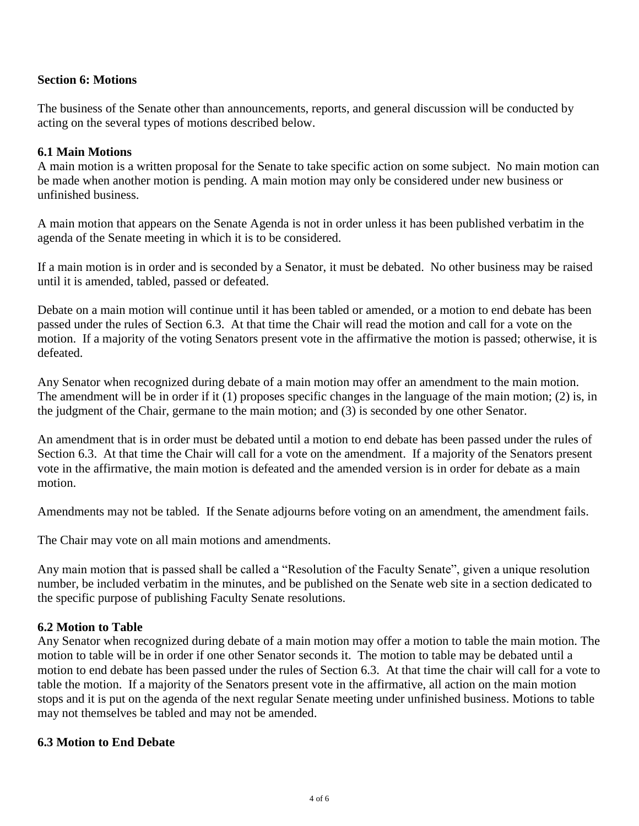## **Section 6: Motions**

The business of the Senate other than announcements, reports, and general discussion will be conducted by acting on the several types of motions described below.

## **6.1 Main Motions**

A main motion is a written proposal for the Senate to take specific action on some subject. No main motion can be made when another motion is pending. A main motion may only be considered under new business or unfinished business.

A main motion that appears on the Senate Agenda is not in order unless it has been published verbatim in the agenda of the Senate meeting in which it is to be considered.

If a main motion is in order and is seconded by a Senator, it must be debated. No other business may be raised until it is amended, tabled, passed or defeated.

Debate on a main motion will continue until it has been tabled or amended, or a motion to end debate has been passed under the rules of Section 6.3. At that time the Chair will read the motion and call for a vote on the motion. If a majority of the voting Senators present vote in the affirmative the motion is passed; otherwise, it is defeated.

Any Senator when recognized during debate of a main motion may offer an amendment to the main motion. The amendment will be in order if it (1) proposes specific changes in the language of the main motion; (2) is, in the judgment of the Chair, germane to the main motion; and (3) is seconded by one other Senator.

An amendment that is in order must be debated until a motion to end debate has been passed under the rules of Section 6.3. At that time the Chair will call for a vote on the amendment. If a majority of the Senators present vote in the affirmative, the main motion is defeated and the amended version is in order for debate as a main motion.

Amendments may not be tabled. If the Senate adjourns before voting on an amendment, the amendment fails.

The Chair may vote on all main motions and amendments.

Any main motion that is passed shall be called a "Resolution of the Faculty Senate", given a unique resolution number, be included verbatim in the minutes, and be published on the Senate web site in a section dedicated to the specific purpose of publishing Faculty Senate resolutions.

## **6.2 Motion to Table**

Any Senator when recognized during debate of a main motion may offer a motion to table the main motion. The motion to table will be in order if one other Senator seconds it. The motion to table may be debated until a motion to end debate has been passed under the rules of Section 6.3. At that time the chair will call for a vote to table the motion. If a majority of the Senators present vote in the affirmative, all action on the main motion stops and it is put on the agenda of the next regular Senate meeting under unfinished business. Motions to table may not themselves be tabled and may not be amended.

## **6.3 Motion to End Debate**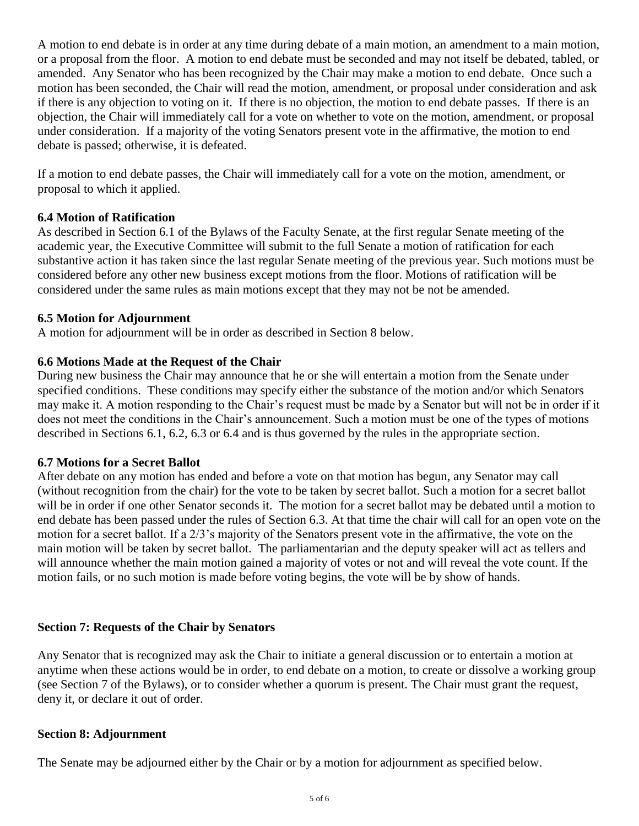A motion to end debate is in order at any time during debate of a main motion, an amendment to a main motion, or a proposal from the floor. A motion to end debate must be seconded and may not itself be debated, tabled, or amended. Any Senator who has been recognized by the Chair may make a motion to end debate. Once such a motion has been seconded, the Chair will read the motion, amendment, or proposal under consideration and ask if there is any objection to voting on it. If there is no objection, the motion to end debate passes. If there is an objection, the Chair will immediately call for a vote on whether to vote on the motion, amendment, or proposal under consideration. If a majority of the voting Senators present vote in the affirmative, the motion to end debate is passed; otherwise, it is defeated.

If a motion to end debate passes, the Chair will immediately call for a vote on the motion, amendment, or proposal to which it applied.

# **6.4 Motion of Ratification**

As described in Section 6.1 of the Bylaws of the Faculty Senate, at the first regular Senate meeting of the academic year, the Executive Committee will submit to the full Senate a motion of ratification for each substantive action it has taken since the last regular Senate meeting of the previous year. Such motions must be considered before any other new business except motions from the floor. Motions of ratification will be considered under the same rules as main motions except that they may not be not be amended.

# **6.5 Motion for Adjournment**

A motion for adjournment will be in order as described in Section 8 below.

# **6.6 Motions Made at the Request of the Chair**

During new business the Chair may announce that he or she will entertain a motion from the Senate under specified conditions. These conditions may specify either the substance of the motion and/or which Senators may make it. A motion responding to the Chair's request must be made by a Senator but will not be in order if it does not meet the conditions in the Chair's announcement. Such a motion must be one of the types of motions described in Sections 6.1, 6.2, 6.3 or 6.4 and is thus governed by the rules in the appropriate section.

## **6.7 Motions for a Secret Ballot**

After debate on any motion has ended and before a vote on that motion has begun, any Senator may call (without recognition from the chair) for the vote to be taken by secret ballot. Such a motion for a secret ballot will be in order if one other Senator seconds it. The motion for a secret ballot may be debated until a motion to end debate has been passed under the rules of Section 6.3. At that time the chair will call for an open vote on the motion for a secret ballot. If a 2/3's majority of the Senators present vote in the affirmative, the vote on the main motion will be taken by secret ballot. The parliamentarian and the deputy speaker will act as tellers and will announce whether the main motion gained a majority of votes or not and will reveal the vote count. If the motion fails, or no such motion is made before voting begins, the vote will be by show of hands.

## **Section 7: Requests of the Chair by Senators**

Any Senator that is recognized may ask the Chair to initiate a general discussion or to entertain a motion at anytime when these actions would be in order, to end debate on a motion, to create or dissolve a working group (see Section 7 of the Bylaws), or to consider whether a quorum is present. The Chair must grant the request, deny it, or declare it out of order.

## **Section 8: Adjournment**

The Senate may be adjourned either by the Chair or by a motion for adjournment as specified below.